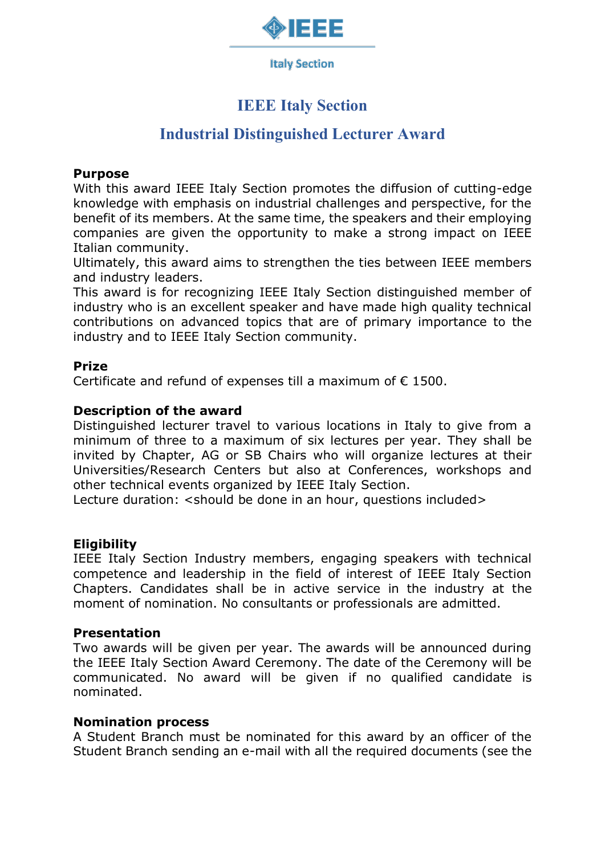

**Italy Section** 

# **IEEE Italy Section**

# **Industrial Distinguished Lecturer Award**

## **Purpose**

With this award IEEE Italy Section promotes the diffusion of cutting-edge knowledge with emphasis on industrial challenges and perspective, for the benefit of its members. At the same time, the speakers and their employing companies are given the opportunity to make a strong impact on IEEE Italian community.

Ultimately, this award aims to strengthen the ties between IEEE members and industry leaders.

This award is for recognizing IEEE Italy Section distinguished member of industry who is an excellent speaker and have made high quality technical contributions on advanced topics that are of primary importance to the industry and to IEEE Italy Section community.

## **Prize**

Certificate and refund of expenses till a maximum of  $\epsilon$  1500.

## **Description of the award**

Distinguished lecturer travel to various locations in Italy to give from a minimum of three to a maximum of six lectures per year. They shall be invited by Chapter, AG or SB Chairs who will organize lectures at their Universities/Research Centers but also at Conferences, workshops and other technical events organized by IEEE Italy Section.

Lecture duration: < should be done in an hour, questions included >

# **Eligibility**

IEEE Italy Section Industry members, engaging speakers with technical competence and leadership in the field of interest of IEEE Italy Section Chapters. Candidates shall be in active service in the industry at the moment of nomination. No consultants or professionals are admitted.

## **Presentation**

Two awards will be given per year. The awards will be announced during the IEEE Italy Section Award Ceremony. The date of the Ceremony will be communicated. No award will be given if no qualified candidate is nominated.

## **Nomination process**

A Student Branch must be nominated for this award by an officer of the Student Branch sending an e-mail with all the required documents (see the